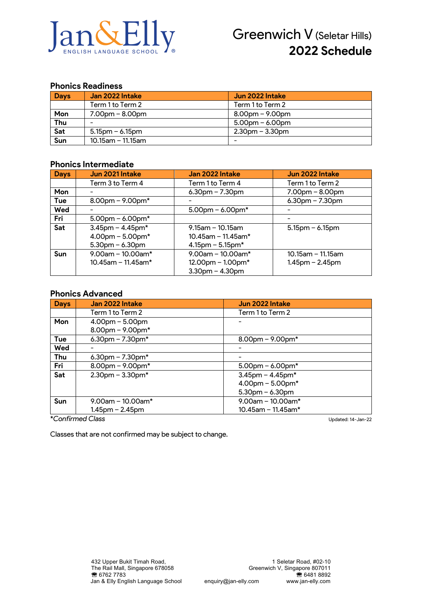

### **Phonics Readiness**

| <b>Days</b> | Jan 2022 Intake      | Jun 2022 Intake    |
|-------------|----------------------|--------------------|
|             | Term 1 to Term 2     | Term 1 to Term 2   |
| Mon         | $7.00pm - 8.00pm$    | $8.00$ pm – 9.00pm |
| Thu         |                      | $5.00$ pm – 6.00pm |
| Sat         | $5.15$ pm – 6.15pm   | $2.30pm - 3.30pm$  |
| Sun         | $10.15$ am – 11.15am |                    |

#### **Phonics Intermediate**

| <b>Days</b> | Jun 2021 Intake        | Jan 2022 Intake         | Jun 2022 Intake      |
|-------------|------------------------|-------------------------|----------------------|
|             | Term 3 to Term 4       | Term 1 to Term 4        | Term 1 to Term 2     |
| Mon         |                        | $6.30$ pm – 7.30pm      | $7.00pm - 8.00pm$    |
| Tue         | $8.00$ pm – 9.00pm*    |                         | $6.30$ pm – 7.30pm   |
| Wed         |                        | $5.00$ pm – 6.00pm*     |                      |
| Fri         | $5.00$ pm – 6.00pm*    |                         |                      |
| Sat         | $3.45$ pm – $4.45$ pm* | $9.15$ am - 10.15am     | $5.15$ pm – 6.15pm   |
|             | $4.00$ pm – 5.00pm*    | $10.45$ am - 11.45am*   |                      |
|             | $5.30$ pm – 6.30pm     | $4.15$ pm – 5.15pm*     |                      |
| <b>Sun</b>  | $9.00$ am - 10.00am*   | $9.00$ am - 10.00am*    | $10.15$ am - 11.15am |
|             | $10.45$ am - 11.45am*  | $12.00$ pm – $1.00$ pm* | $1.45$ pm – 2.45pm   |
|             |                        | $3.30$ pm $- 4.30$ pm   |                      |

### **Phonics Advanced**

| <b>Days</b> | Jan 2022 Intake        | Jun 2022 Intake        |
|-------------|------------------------|------------------------|
|             | Term 1 to Term 2       | Term 1 to Term 2       |
| Mon         | $4.00pm - 5.00pm$      |                        |
|             | $8.00$ pm – $9.00$ pm* |                        |
| Tue         | 6.30pm $- 7.30$ pm*    | $8.00$ pm – 9.00pm*    |
| Wed         |                        |                        |
| Thu         | 6.30pm $- 7.30$ pm $*$ |                        |
| Fri         | $8.00$ pm – 9.00pm*    | $5.00$ pm – 6.00pm*    |
| Sat         | $2.30$ pm – $3.30$ pm* | $3.45$ pm - $4.45$ pm* |
|             |                        | $4.00$ pm - $5.00$ pm* |
|             |                        | $5.30$ pm – 6.30pm     |
| Sun         | $9.00$ am - 10.00am*   | $9.00$ am - 10.00am*   |
|             | $1.45$ pm – 2.45pm     | $10.45$ am - 11.45am*  |
|             | *Confirmed Class       | Updated: 14-Jan-22     |

Classes that are not confirmed may be subject to change.